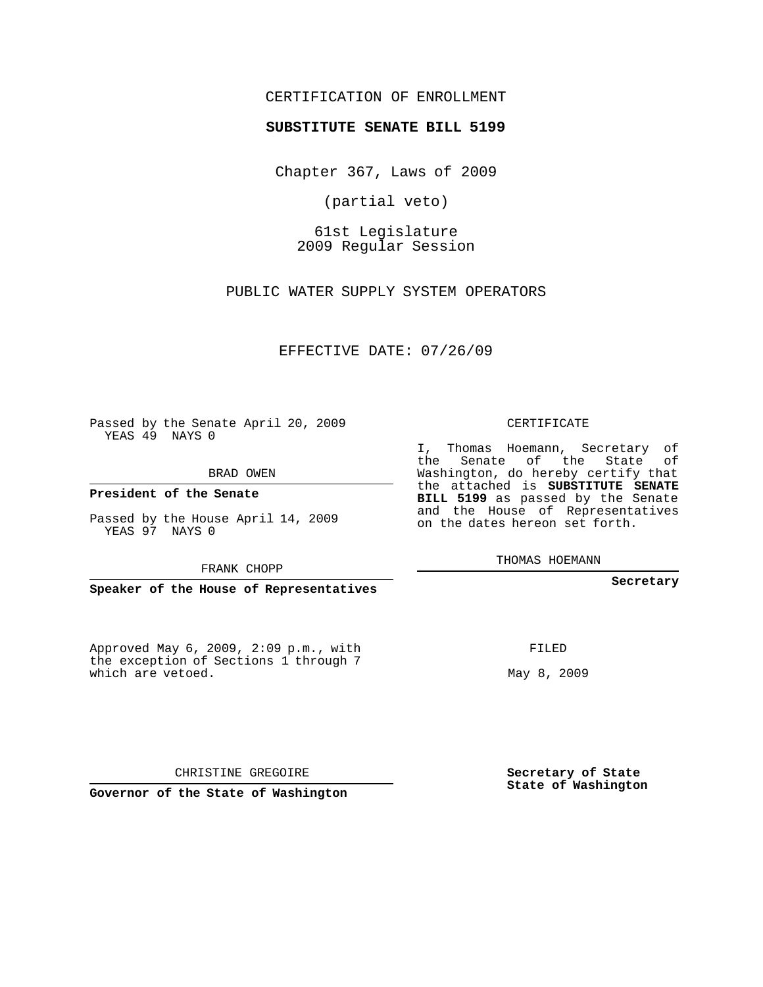## CERTIFICATION OF ENROLLMENT

## **SUBSTITUTE SENATE BILL 5199**

Chapter 367, Laws of 2009

(partial veto)

61st Legislature 2009 Regular Session

PUBLIC WATER SUPPLY SYSTEM OPERATORS

EFFECTIVE DATE: 07/26/09

Passed by the Senate April 20, 2009 YEAS 49 NAYS 0

BRAD OWEN

**President of the Senate**

Passed by the House April 14, 2009 YEAS 97 NAYS 0

FRANK CHOPP

**Speaker of the House of Representatives**

Approved May 6, 2009, 2:09 p.m., with the exception of Sections 1 through 7 which are vetoed.

CERTIFICATE

I, Thomas Hoemann, Secretary of the Senate of the State of Washington, do hereby certify that the attached is **SUBSTITUTE SENATE BILL 5199** as passed by the Senate and the House of Representatives on the dates hereon set forth.

THOMAS HOEMANN

**Secretary**

FILED

May 8, 2009

**Secretary of State State of Washington**

CHRISTINE GREGOIRE

**Governor of the State of Washington**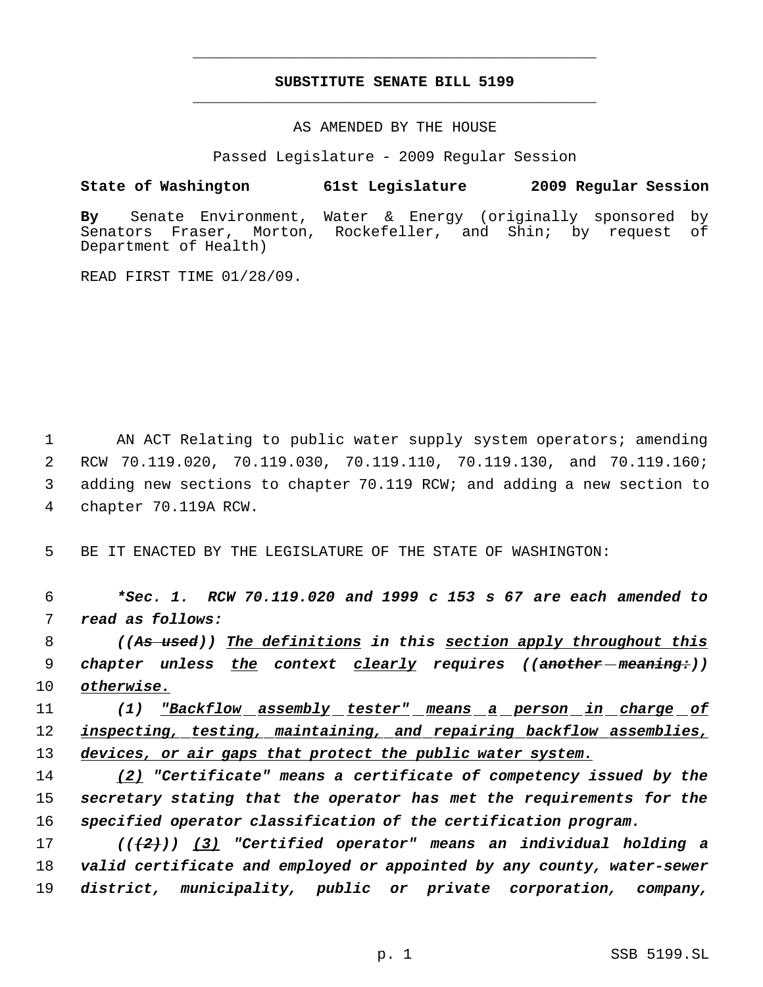## **SUBSTITUTE SENATE BILL 5199** \_\_\_\_\_\_\_\_\_\_\_\_\_\_\_\_\_\_\_\_\_\_\_\_\_\_\_\_\_\_\_\_\_\_\_\_\_\_\_\_\_\_\_\_\_

\_\_\_\_\_\_\_\_\_\_\_\_\_\_\_\_\_\_\_\_\_\_\_\_\_\_\_\_\_\_\_\_\_\_\_\_\_\_\_\_\_\_\_\_\_

AS AMENDED BY THE HOUSE

Passed Legislature - 2009 Regular Session

**State of Washington 61st Legislature 2009 Regular Session**

**By** Senate Environment, Water & Energy (originally sponsored by Senators Fraser, Morton, Rockefeller, and Shin; by request of Department of Health)

READ FIRST TIME 01/28/09.

1 AN ACT Relating to public water supply system operators; amending RCW 70.119.020, 70.119.030, 70.119.110, 70.119.130, and 70.119.160; adding new sections to chapter 70.119 RCW; and adding a new section to chapter 70.119A RCW.

5 BE IT ENACTED BY THE LEGISLATURE OF THE STATE OF WASHINGTON:

 6 *\*Sec. 1. RCW 70.119.020 and 1999 c 153 s 67 are each amended to* 7 *read as follows:*

 8 *((As used)) The definitions in this section apply throughout this* 9 *chapter unless the context clearly requires ((another meaning:))* 10 *otherwise.*

11 *(1) "Backflow assembly tester" means a person in charge of* 12 *inspecting, testing, maintaining, and repairing backflow assemblies,* 13 *devices, or air gaps that protect the public water system.*

14 *(2) "Certificate" means a certificate of competency issued by the* 15 *secretary stating that the operator has met the requirements for the* 16 *specified operator classification of the certification program.*

17 *(((2))) (3) "Certified operator" means an individual holding a* 18 *valid certificate and employed or appointed by any county, water-sewer* 19 *district, municipality, public or private corporation, company,*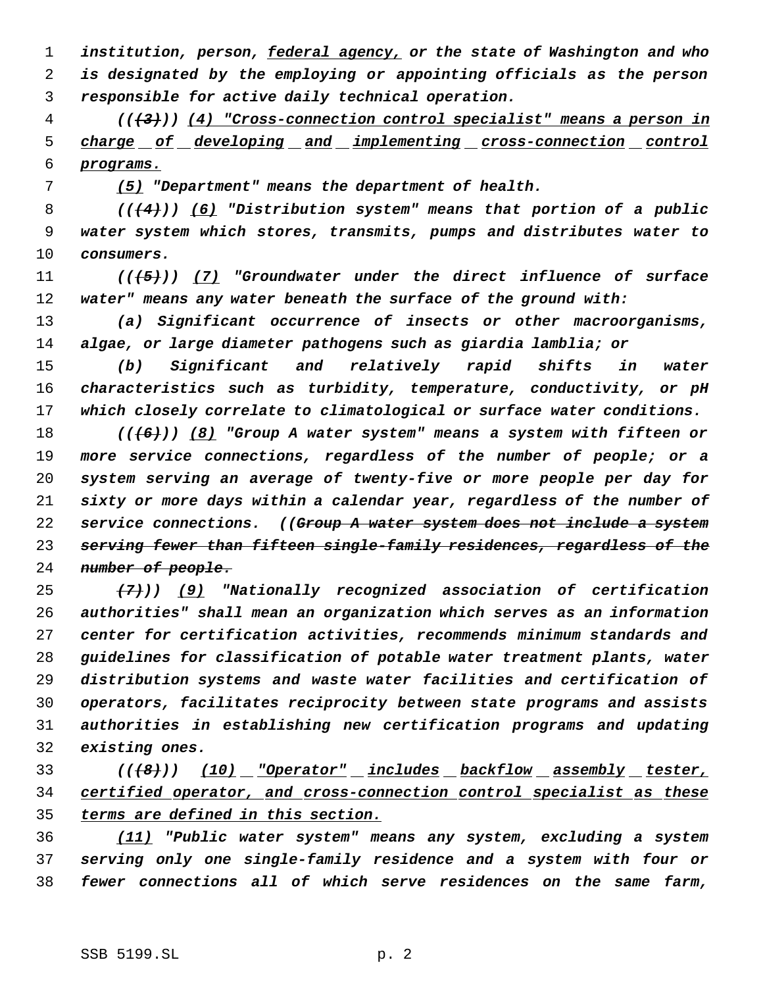*institution, person, federal agency, or the state of Washington and who is designated by the employing or appointing officials as the person responsible for active daily technical operation.*

 *(((3))) (4) "Cross-connection control specialist" means a person in charge of developing and implementing cross-connection control programs.*

*(5) "Department" means the department of health.*

 *(((4))) (6) "Distribution system" means that portion of a public water system which stores, transmits, pumps and distributes water to consumers.*

 *(((5))) (7) "Groundwater under the direct influence of surface water" means any water beneath the surface of the ground with:*

 *(a) Significant occurrence of insects or other macroorganisms, algae, or large diameter pathogens such as giardia lamblia; or*

 *(b) Significant and relatively rapid shifts in water characteristics such as turbidity, temperature, conductivity, or pH which closely correlate to climatological or surface water conditions.*

 *(((6))) (8) "Group A water system" means a system with fifteen or more service connections, regardless of the number of people; or a system serving an average of twenty-five or more people per day for sixty or more days within a calendar year, regardless of the number of service connections. ((Group A water system does not include a system serving fewer than fifteen single-family residences, regardless of the number of people.*

 *(7))) (9) "Nationally recognized association of certification authorities" shall mean an organization which serves as an information center for certification activities, recommends minimum standards and guidelines for classification of potable water treatment plants, water distribution systems and waste water facilities and certification of operators, facilitates reciprocity between state programs and assists authorities in establishing new certification programs and updating existing ones.*

 *(((8))) (10) "Operator" includes backflow assembly tester, certified operator, and cross-connection control specialist as these terms are defined in this section.*

 *(11) "Public water system" means any system, excluding a system serving only one single-family residence and a system with four or fewer connections all of which serve residences on the same farm,*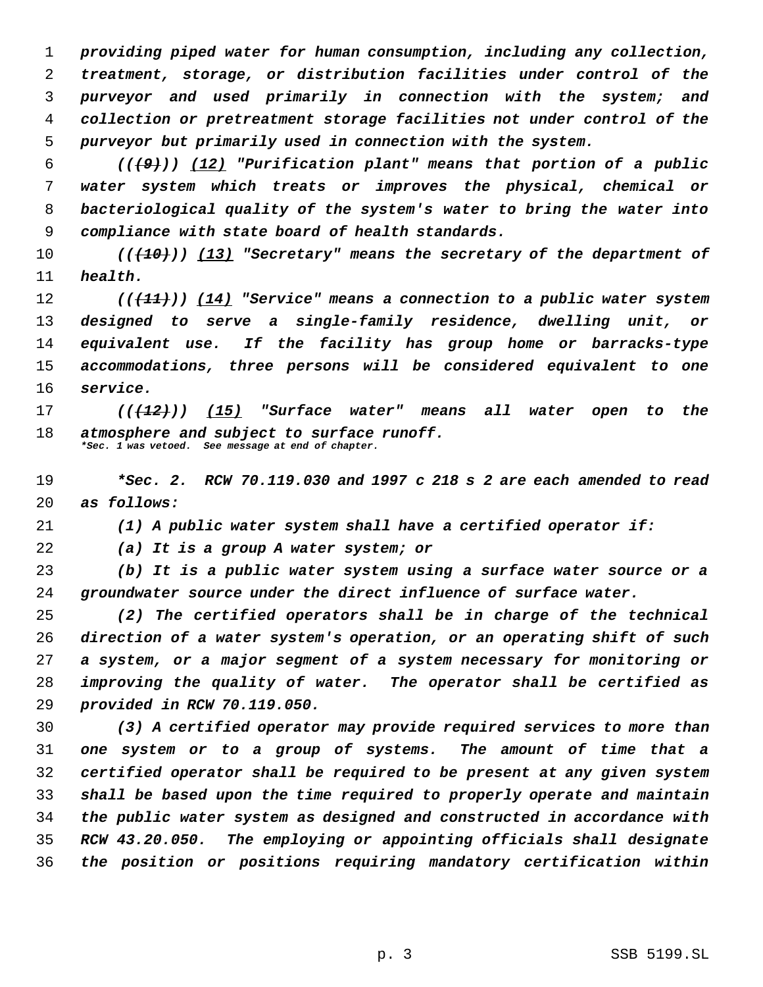*providing piped water for human consumption, including any collection, treatment, storage, or distribution facilities under control of the purveyor and used primarily in connection with the system; and collection or pretreatment storage facilities not under control of the purveyor but primarily used in connection with the system.*

 *(((9))) (12) "Purification plant" means that portion of a public water system which treats or improves the physical, chemical or bacteriological quality of the system's water to bring the water into compliance with state board of health standards.*

 *(((10))) (13) "Secretary" means the secretary of the department of health.*

 *(((11))) (14) "Service" means a connection to a public water system designed to serve a single-family residence, dwelling unit, or equivalent use. If the facility has group home or barracks-type accommodations, three persons will be considered equivalent to one service.*

 *(((12))) (15) "Surface water" means all water open to the atmosphere and subject to surface runoff. \*Sec. 1 was vetoed. See message at end of chapter.*

 *\*Sec. 2. RCW 70.119.030 and 1997 c 218 s 2 are each amended to read as follows:*

*(1) A public water system shall have a certified operator if:*

*(a) It is a group A water system; or*

 *(b) It is a public water system using a surface water source or a groundwater source under the direct influence of surface water.*

 *(2) The certified operators shall be in charge of the technical direction of a water system's operation, or an operating shift of such a system, or a major segment of a system necessary for monitoring or improving the quality of water. The operator shall be certified as provided in RCW 70.119.050.*

 *(3) A certified operator may provide required services to more than one system or to a group of systems. The amount of time that a certified operator shall be required to be present at any given system shall be based upon the time required to properly operate and maintain the public water system as designed and constructed in accordance with RCW 43.20.050. The employing or appointing officials shall designate the position or positions requiring mandatory certification within*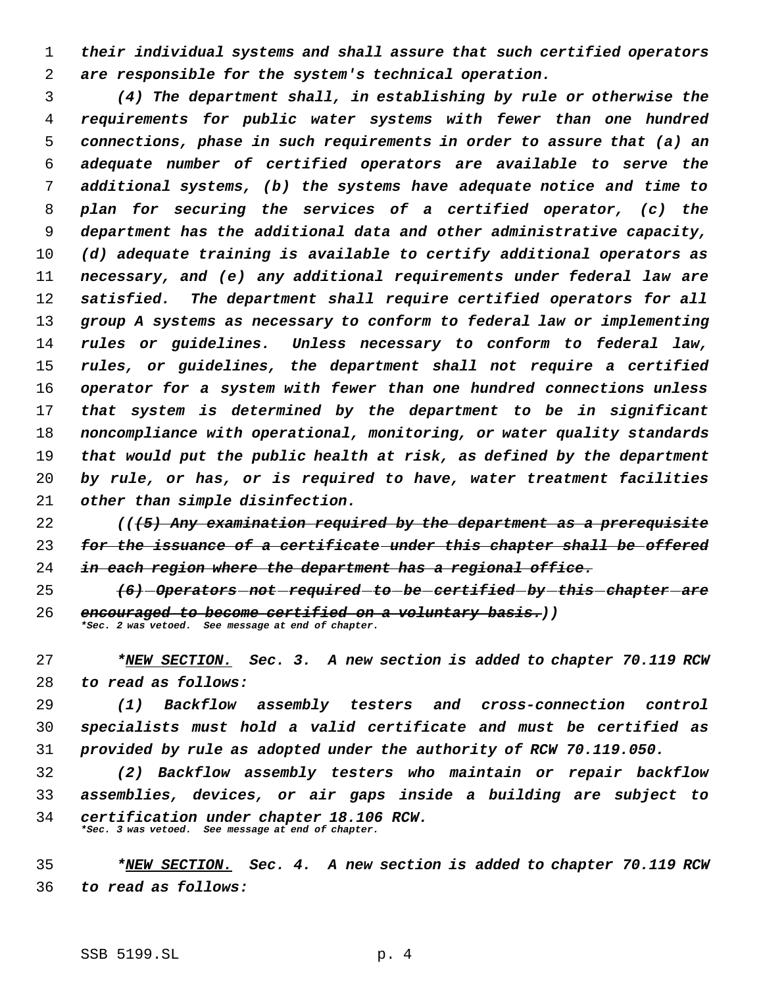*their individual systems and shall assure that such certified operators are responsible for the system's technical operation.*

 *(4) The department shall, in establishing by rule or otherwise the requirements for public water systems with fewer than one hundred connections, phase in such requirements in order to assure that (a) an adequate number of certified operators are available to serve the additional systems, (b) the systems have adequate notice and time to plan for securing the services of a certified operator, (c) the department has the additional data and other administrative capacity, (d) adequate training is available to certify additional operators as necessary, and (e) any additional requirements under federal law are satisfied. The department shall require certified operators for all group A systems as necessary to conform to federal law or implementing rules or guidelines. Unless necessary to conform to federal law, rules, or guidelines, the department shall not require a certified operator for a system with fewer than one hundred connections unless that system is determined by the department to be in significant noncompliance with operational, monitoring, or water quality standards that would put the public health at risk, as defined by the department by rule, or has, or is required to have, water treatment facilities other than simple disinfection.*

 *(((5) Any examination required by the department as a prerequisite for the issuance of a certificate under this chapter shall be offered in each region where the department has a regional office.*

 *(6) Operators not required to be certified by this chapter are encouraged to become certified on a voluntary basis.)) \*Sec. 2 was vetoed. See message at end of chapter.*

 *\*NEW SECTION. Sec. 3. A new section is added to chapter 70.119 RCW to read as follows:*

 *(1) Backflow assembly testers and cross-connection control specialists must hold a valid certificate and must be certified as provided by rule as adopted under the authority of RCW 70.119.050.*

 *(2) Backflow assembly testers who maintain or repair backflow assemblies, devices, or air gaps inside a building are subject to certification under chapter 18.106 RCW. \*Sec. 3 was vetoed. See message at end of chapter.*

 *\*NEW SECTION. Sec. 4. A new section is added to chapter 70.119 RCW to read as follows:*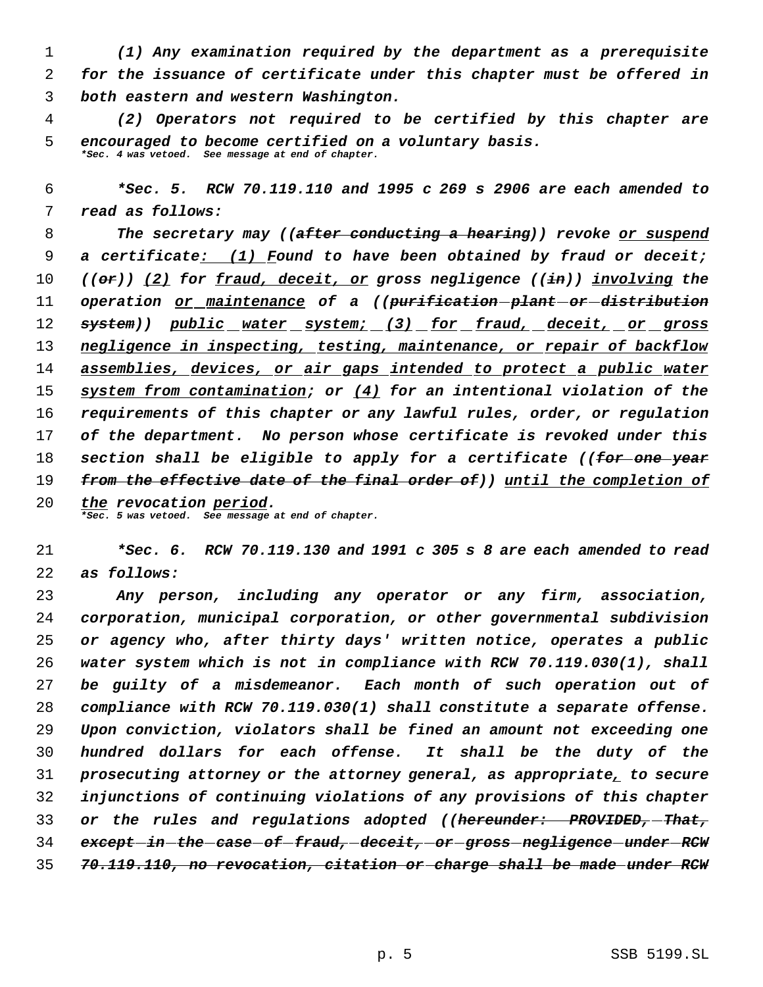*(1) Any examination required by the department as a prerequisite for the issuance of certificate under this chapter must be offered in both eastern and western Washington.*

 *(2) Operators not required to be certified by this chapter are encouraged to become certified on a voluntary basis. \*Sec. 4 was vetoed. See message at end of chapter.*

 *\*Sec. 5. RCW 70.119.110 and 1995 c 269 s 2906 are each amended to read as follows:*

 *The secretary may ((after conducting a hearing)) revoke or suspend a certificate: (1) Found to have been obtained by fraud or deceit; ((or)) (2) for fraud, deceit, or gross negligence ((in)) involving the operation or maintenance of a ((purification plant or distribution system)) public water system; (3) for fraud, deceit, or gross negligence in inspecting, testing, maintenance, or repair of backflow assemblies, devices, or air gaps intended to protect a public water system from contamination; or (4) for an intentional violation of the requirements of this chapter or any lawful rules, order, or regulation of the department. No person whose certificate is revoked under this section shall be eligible to apply for a certificate ((for one year from the effective date of the final order of)) until the completion of the revocation period.*

*\*Sec. 5 was vetoed. See message at end of chapter.*

 *\*Sec. 6. RCW 70.119.130 and 1991 c 305 s 8 are each amended to read as follows:*

 *Any person, including any operator or any firm, association, corporation, municipal corporation, or other governmental subdivision or agency who, after thirty days' written notice, operates a public water system which is not in compliance with RCW 70.119.030(1), shall be guilty of a misdemeanor. Each month of such operation out of compliance with RCW 70.119.030(1) shall constitute a separate offense. Upon conviction, violators shall be fined an amount not exceeding one hundred dollars for each offense. It shall be the duty of the prosecuting attorney or the attorney general, as appropriate, to secure injunctions of continuing violations of any provisions of this chapter or the rules and regulations adopted ((hereunder: PROVIDED, That, except in the case of fraud, deceit, or gross negligence under RCW 70.119.110, no revocation, citation or charge shall be made under RCW*